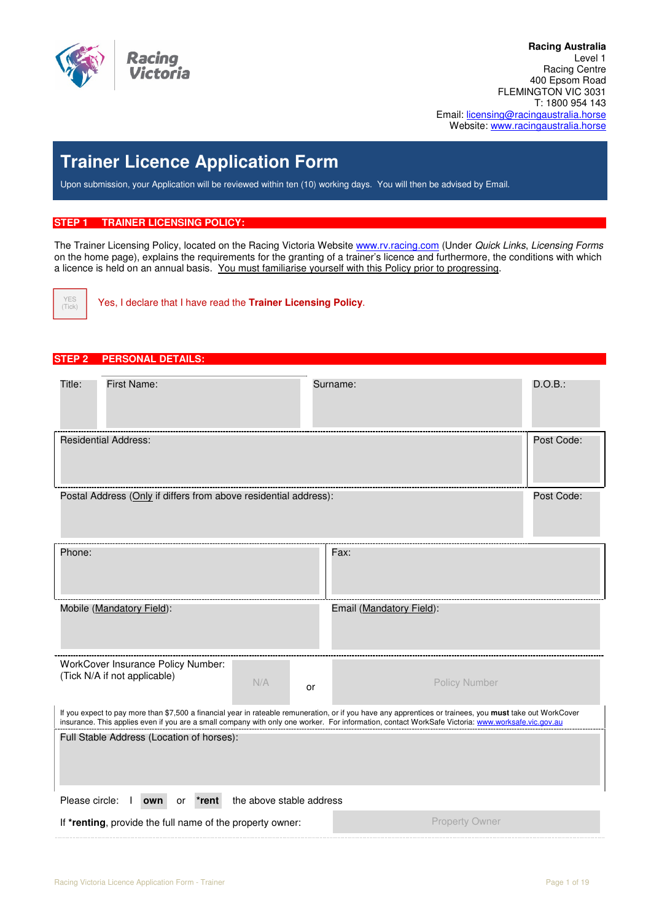

**N 096 917 930**  Racing Centre **Racing Australia**  Level 1 400 Epsom Road FLEMINGTON VIC 3031 T: 1800 954 143 Email: licensing@racingaustralia.horse Website: www.racingaustralia.horse

# **Trainer Licence Application Form**

Upon submission, your Application will be reviewed within ten (10) working days. You will then be advised by Email.

#### **STEP 1 TRAINER LICENSING POLICY:**

The Trainer Licensing Policy, located on the Racing Victoria Website www.rv.racing.com (Under Quick Links, Licensing Forms on the home page), explains the requirements for the granting of a trainer's licence and furthermore, the conditions with which a licence is held on an annual basis. You must familiarise yourself with this Policy prior to progressing.



Yes, I declare that I have read the **Trainer Licensing Policy**.

## **STEP 2 PERSONAL DETAILS:**

| Title:                                                           | <b>First Name:</b>                                                 |                          | Surname:                                                                                                                                                                                                                                                                                                       | D.O.B.: |  |  |  |  |
|------------------------------------------------------------------|--------------------------------------------------------------------|--------------------------|----------------------------------------------------------------------------------------------------------------------------------------------------------------------------------------------------------------------------------------------------------------------------------------------------------------|---------|--|--|--|--|
| <b>Residential Address:</b>                                      |                                                                    |                          |                                                                                                                                                                                                                                                                                                                |         |  |  |  |  |
| Postal Address (Only if differs from above residential address): |                                                                    |                          |                                                                                                                                                                                                                                                                                                                |         |  |  |  |  |
| Phone:                                                           |                                                                    |                          | Fax:                                                                                                                                                                                                                                                                                                           |         |  |  |  |  |
|                                                                  | Mobile (Mandatory Field):                                          |                          | Email (Mandatory Field):                                                                                                                                                                                                                                                                                       |         |  |  |  |  |
|                                                                  | WorkCover Insurance Policy Number:<br>(Tick N/A if not applicable) | N/A<br>or                | <b>Policy Number</b>                                                                                                                                                                                                                                                                                           |         |  |  |  |  |
|                                                                  |                                                                    |                          | If you expect to pay more than \$7,500 a financial year in rateable remuneration, or if you have any apprentices or trainees, you must take out WorkCover<br>insurance. This applies even if you are a small company with only one worker. For information, contact WorkSafe Victoria: www.worksafe.vic.gov.au |         |  |  |  |  |
|                                                                  | Full Stable Address (Location of horses):                          |                          |                                                                                                                                                                                                                                                                                                                |         |  |  |  |  |
| Please circle:                                                   | own<br>*rent<br>or                                                 | the above stable address |                                                                                                                                                                                                                                                                                                                |         |  |  |  |  |
|                                                                  | If *renting, provide the full name of the property owner:          |                          | <b>Property Owner</b>                                                                                                                                                                                                                                                                                          |         |  |  |  |  |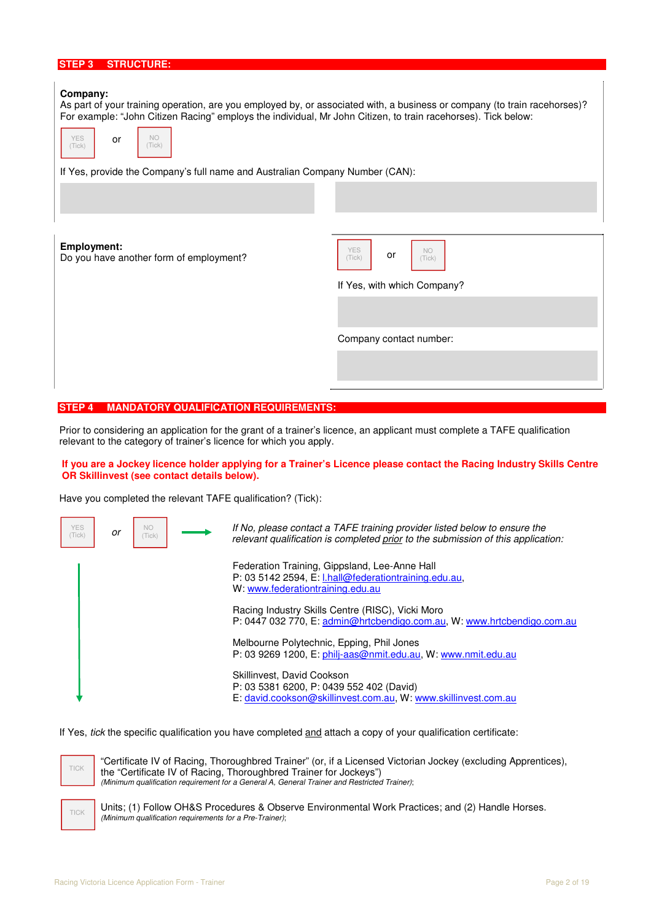| <b>STRUCTURE:</b><br>STEP <sub>3</sub>                                                                                                                                                                                                                                                                                                                                               |                                                   |
|--------------------------------------------------------------------------------------------------------------------------------------------------------------------------------------------------------------------------------------------------------------------------------------------------------------------------------------------------------------------------------------|---------------------------------------------------|
| Company:<br>As part of your training operation, are you employed by, or associated with, a business or company (to train racehorses)?<br>For example: "John Citizen Racing" employs the individual, Mr John Citizen, to train racehorses). Tick below:<br><b>NO</b><br>YES<br>or<br>(Tick)<br>(Tick)<br>If Yes, provide the Company's full name and Australian Company Number (CAN): |                                                   |
|                                                                                                                                                                                                                                                                                                                                                                                      |                                                   |
|                                                                                                                                                                                                                                                                                                                                                                                      |                                                   |
| <b>Employment:</b><br>Do you have another form of employment?                                                                                                                                                                                                                                                                                                                        | <b>YES</b><br><b>NO</b><br>or<br>(Tick)<br>(Tick) |
|                                                                                                                                                                                                                                                                                                                                                                                      | If Yes, with which Company?                       |
|                                                                                                                                                                                                                                                                                                                                                                                      |                                                   |
|                                                                                                                                                                                                                                                                                                                                                                                      | Company contact number:                           |
|                                                                                                                                                                                                                                                                                                                                                                                      |                                                   |

#### **STEP 4 MANDATORY QUALIFICATION REQUIREMENTS:**

Prior to considering an application for the grant of a trainer's licence, an applicant must complete a TAFE qualification relevant to the category of trainer's licence for which you apply.

#### **If you are a Jockey licence holder applying for a Trainer's Licence please contact the Racing Industry Skills Centre OR Skillinvest (see contact details below).**

Have you completed the relevant TAFE qualification? (Tick):



If Yes, tick the specific qualification you have completed and attach a copy of your qualification certificate:



TICK

 "Certificate IV of Racing, Thoroughbred Trainer" (or, if a Licensed Victorian Jockey (excluding Apprentices), the "Certificate IV of Racing, Thoroughbred Trainer for Jockeys") (Minimum qualification requirement for a General A, General Trainer and Restricted Trainer);

 Units; (1) Follow OH&S Procedures & Observe Environmental Work Practices; and (2) Handle Horses. (Minimum qualification requirements for a Pre-Trainer);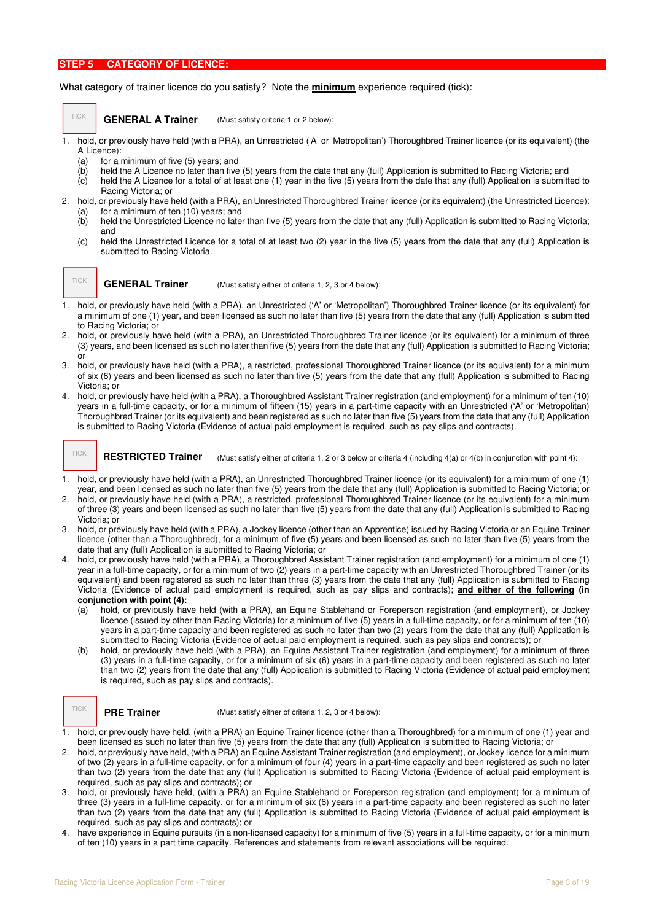#### **STEP 5 CATEGORY OF LICENCE:**

#### What category of trainer licence do you satisfy? Note the **minimum** experience required (tick):

#### **GENERAL A Trainer**

(Must satisfy criteria 1 or 2 below):

- 1. hold, or previously have held (with a PRA), an Unrestricted ('A' or 'Metropolitan') Thoroughbred Trainer licence (or its equivalent) (the A Licence):
	- (a) for a minimum of five (5) years; and
	- (b) held the A Licence no later than five (5) years from the date that any (full) Application is submitted to Racing Victoria; and
	- (c) held the A Licence for a total of at least one (1) year in the five (5) years from the date that any (full) Application is submitted to Racing Victoria; or
- 2. hold, or previously have held (with a PRA), an Unrestricted Thoroughbred Trainer licence (or its equivalent) (the Unrestricted Licence): (a) for a minimum of ten (10) years; and
	- (b) held the Unrestricted Licence no later than five (5) years from the date that any (full) Application is submitted to Racing Victoria; and
	- (c) held the Unrestricted Licence for a total of at least two (2) year in the five (5) years from the date that any (full) Application is submitted to Racing Victoria.

TICK

TICK

(Must satisfy either of criteria 1, 2, 3 or 4 below): **GENERAL Trainer**

- 1. hold, or previously have held (with a PRA), an Unrestricted ('A' or 'Metropolitan') Thoroughbred Trainer licence (or its equivalent) for a minimum of one (1) year, and been licensed as such no later than five (5) years from the date that any (full) Application is submitted to Racing Victoria; or
- 2. hold, or previously have held (with a PRA), an Unrestricted Thoroughbred Trainer licence (or its equivalent) for a minimum of three (3) years, and been licensed as such no later than five (5) years from the date that any (full) Application is submitted to Racing Victoria; or
- 3. hold, or previously have held (with a PRA), a restricted, professional Thoroughbred Trainer licence (or its equivalent) for a minimum of six (6) years and been licensed as such no later than five (5) years from the date that any (full) Application is submitted to Racing Victoria; or
- 4. hold, or previously have held (with a PRA), a Thoroughbred Assistant Trainer registration (and employment) for a minimum of ten (10) years in a full-time capacity, or for a minimum of fifteen (15) years in a part-time capacity with an Unrestricted ('A' or 'Metropolitan) Thoroughbred Trainer (or its equivalent) and been registered as such no later than five (5) years from the date that any (full) Application is submitted to Racing Victoria (Evidence of actual paid employment is required, such as pay slips and contracts).

(Must satisfy either of criteria 1, 2 or 3 below or criteria 4 (including 4(a) or 4(b) in conjunction with point 4): **RESTRICTED Trainer** 

- 1. hold, or previously have held (with a PRA), an Unrestricted Thoroughbred Trainer licence (or its equivalent) for a minimum of one (1) year, and been licensed as such no later than five (5) years from the date that any (full) Application is submitted to Racing Victoria; or
- 2. hold, or previously have held (with a PRA), a restricted, professional Thoroughbred Trainer licence (or its equivalent) for a minimum of three (3) years and been licensed as such no later than five (5) years from the date that any (full) Application is submitted to Racing Victoria; or
- 3. hold, or previously have held (with a PRA), a Jockey licence (other than an Apprentice) issued by Racing Victoria or an Equine Trainer licence (other than a Thoroughbred), for a minimum of five (5) years and been licensed as such no later than five (5) years from the date that any (full) Application is submitted to Racing Victoria; or
- 4. hold, or previously have held (with a PRA), a Thoroughbred Assistant Trainer registration (and employment) for a minimum of one (1) year in a full-time capacity, or for a minimum of two (2) years in a part-time capacity with an Unrestricted Thoroughbred Trainer (or its equivalent) and been registered as such no later than three (3) years from the date that any (full) Application is submitted to Racing Victoria (Evidence of actual paid employment is required, such as pay slips and contracts); **and either of the following (in conjunction with point (4):**
	- (a) hold, or previously have held (with a PRA), an Equine Stablehand or Foreperson registration (and employment), or Jockey licence (issued by other than Racing Victoria) for a minimum of five (5) years in a full-time capacity, or for a minimum of ten (10) years in a part-time capacity and been registered as such no later than two (2) years from the date that any (full) Application is submitted to Racing Victoria (Evidence of actual paid employment is required, such as pay slips and contracts); or
	- (b) hold, or previously have held (with a PRA), an Equine Assistant Trainer registration (and employment) for a minimum of three (3) years in a full-time capacity, or for a minimum of six (6) years in a part-time capacity and been registered as such no later than two (2) years from the date that any (full) Application is submitted to Racing Victoria (Evidence of actual paid employment is required, such as pay slips and contracts).

#### **PRE Trainer**

TICK

(Must satisfy either of criteria 1, 2, 3 or 4 below):

- 1. hold, or previously have held, (with a PRA) an Equine Trainer licence (other than a Thoroughbred) for a minimum of one (1) year and been licensed as such no later than five (5) years from the date that any (full) Application is submitted to Racing Victoria; or
- 2. hold, or previously have held, (with a PRA) an Equine Assistant Trainer registration (and employment), or Jockey licence for a minimum of two (2) years in a full-time capacity, or for a minimum of four (4) years in a part-time capacity and been registered as such no later than two (2) years from the date that any (full) Application is submitted to Racing Victoria (Evidence of actual paid employment is required, such as pay slips and contracts); or
- 3. hold, or previously have held, (with a PRA) an Equine Stablehand or Foreperson registration (and employment) for a minimum of three (3) years in a full-time capacity, or for a minimum of six (6) years in a part-time capacity and been registered as such no later than two (2) years from the date that any (full) Application is submitted to Racing Victoria (Evidence of actual paid employment is required, such as pay slips and contracts); or
- 4. have experience in Equine pursuits (in a non-licensed capacity) for a minimum of five (5) years in a full-time capacity, or for a minimum of ten (10) years in a part time capacity. References and statements from relevant associations will be required.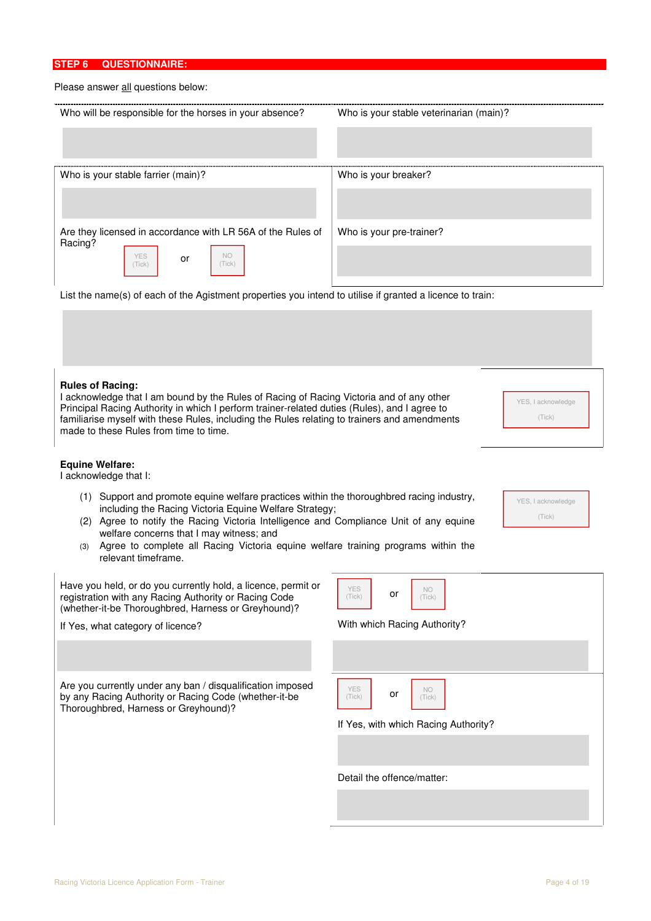### **STEP 6 QUESTIONNAIRE:**

# Please answer all questions below:

| Please answer all questions below:                                                                                                                                                                                                                                                                                                                                                                                                           |                                         |  |  |  |  |  |  |
|----------------------------------------------------------------------------------------------------------------------------------------------------------------------------------------------------------------------------------------------------------------------------------------------------------------------------------------------------------------------------------------------------------------------------------------------|-----------------------------------------|--|--|--|--|--|--|
| Who will be responsible for the horses in your absence?                                                                                                                                                                                                                                                                                                                                                                                      | Who is your stable veterinarian (main)? |  |  |  |  |  |  |
| Who is your stable farrier (main)?                                                                                                                                                                                                                                                                                                                                                                                                           | Who is your breaker?                    |  |  |  |  |  |  |
| Are they licensed in accordance with LR 56A of the Rules of<br>Racing?<br><b>NO</b><br><b>YES</b><br>or<br>(Tick)<br>(Tick)                                                                                                                                                                                                                                                                                                                  | Who is your pre-trainer?                |  |  |  |  |  |  |
| List the name(s) of each of the Agistment properties you intend to utilise if granted a licence to train:                                                                                                                                                                                                                                                                                                                                    |                                         |  |  |  |  |  |  |
| <b>Rules of Racing:</b><br>I acknowledge that I am bound by the Rules of Racing of Racing Victoria and of any other<br>YES, I acknowledge<br>Principal Racing Authority in which I perform trainer-related duties (Rules), and I agree to<br>familiarise myself with these Rules, including the Rules relating to trainers and amendments<br>(Tick)<br>made to these Rules from time to time.                                                |                                         |  |  |  |  |  |  |
| <b>Equine Welfare:</b><br>I acknowledge that I:                                                                                                                                                                                                                                                                                                                                                                                              |                                         |  |  |  |  |  |  |
| (1) Support and promote equine welfare practices within the thoroughbred racing industry,<br>YES, I acknowledge<br>including the Racing Victoria Equine Welfare Strategy;<br>(Tick)<br>(2) Agree to notify the Racing Victoria Intelligence and Compliance Unit of any equine<br>welfare concerns that I may witness; and<br>Agree to complete all Racing Victoria equine welfare training programs within the<br>(3)<br>relevant timeframe. |                                         |  |  |  |  |  |  |
| Have you held, or do you currently hold, a licence, permit or                                                                                                                                                                                                                                                                                                                                                                                | $V\Gamma$<br>$\mathbb{R}$               |  |  |  |  |  |  |

Have you held, or do you currently hold, a licence, permit or registration with any Racing Authority or Racing Code (whether-it-be Thoroughbred, Harness or Greyhound)?

If Yes, what category of licence?

Are you currently under any ban / disqualification imposed by any Racing Authority or Racing Code (whether-it-be Thoroughbred, Harness or Greyhound)?

| YES<br>(Tick)              | or | NO<br>(Tick)                         |
|----------------------------|----|--------------------------------------|
|                            |    | With which Racing Authority?         |
|                            |    |                                      |
|                            |    |                                      |
| YES<br>(Tick)              | or | NO<br>(Tick)                         |
|                            |    | If Yes, with which Racing Authority? |
|                            |    |                                      |
| Detail the offence/matter: |    |                                      |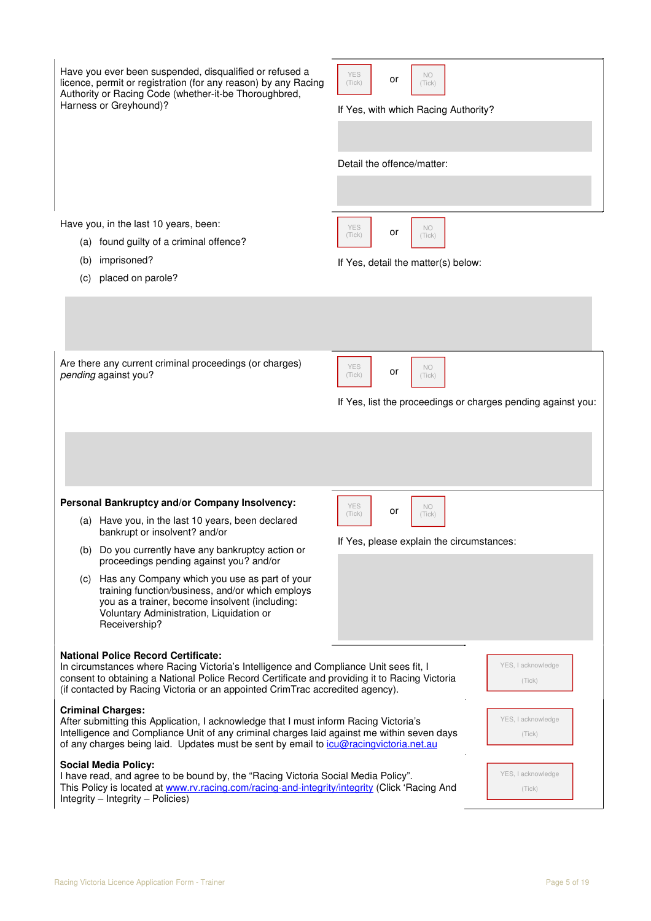| Have you ever been suspended, disqualified or refused a<br>licence, permit or registration (for any reason) by any Racing<br>Authority or Racing Code (whether-it-be Thoroughbred,<br>Harness or Greyhound)?                                                                                                                                                                                                | <b>YES</b><br>NO<br>or<br>(Tick)<br>(Tick)<br>If Yes, with which Racing Authority?<br>Detail the offence/matter:  |
|-------------------------------------------------------------------------------------------------------------------------------------------------------------------------------------------------------------------------------------------------------------------------------------------------------------------------------------------------------------------------------------------------------------|-------------------------------------------------------------------------------------------------------------------|
| Have you, in the last 10 years, been:<br>(a) found guilty of a criminal offence?<br>imprisoned?<br>(b)<br>placed on parole?<br>(c)                                                                                                                                                                                                                                                                          | <b>YES</b><br>NO<br>or<br>(Tick)<br>(Tick)<br>If Yes, detail the matter(s) below:                                 |
| Are there any current criminal proceedings (or charges)<br>pending against you?                                                                                                                                                                                                                                                                                                                             | <b>YES</b><br><b>NO</b><br>or<br>(Tick)<br>(Tick)<br>If Yes, list the proceedings or charges pending against you: |
| Personal Bankruptcy and/or Company Insolvency:                                                                                                                                                                                                                                                                                                                                                              |                                                                                                                   |
| (a) Have you, in the last 10 years, been declared<br>bankrupt or insolvent? and/or<br>(b) Do you currently have any bankruptcy action or<br>proceedings pending against you? and/or<br>(c) Has any Company which you use as part of your<br>training function/business, and/or which employs<br>you as a trainer, become insolvent (including:<br>Voluntary Administration, Liquidation or<br>Receivership? | <b>YES</b><br>NO<br>or<br>(Tick)<br>(Tick)<br>If Yes, please explain the circumstances:                           |
| <b>National Police Record Certificate:</b><br>In circumstances where Racing Victoria's Intelligence and Compliance Unit sees fit, I<br>consent to obtaining a National Police Record Certificate and providing it to Racing Victoria<br>(if contacted by Racing Victoria or an appointed CrimTrac accredited agency).                                                                                       | YES, I acknowledge<br>(Tick)                                                                                      |
| <b>Criminal Charges:</b><br>After submitting this Application, I acknowledge that I must inform Racing Victoria's<br>Intelligence and Compliance Unit of any criminal charges laid against me within seven days<br>of any charges being laid. Updates must be sent by email to icu@racingvictoria.net.au                                                                                                    | YES, I acknowledge<br>(Tick)                                                                                      |
| <b>Social Media Policy:</b><br>I have read, and agree to be bound by, the "Racing Victoria Social Media Policy".<br>This Policy is located at www.rv.racing.com/racing-and-integrity/integrity (Click 'Racing And<br>$Integrity - Integrity - Police)$                                                                                                                                                      | YES, I acknowledge<br>(Tick)                                                                                      |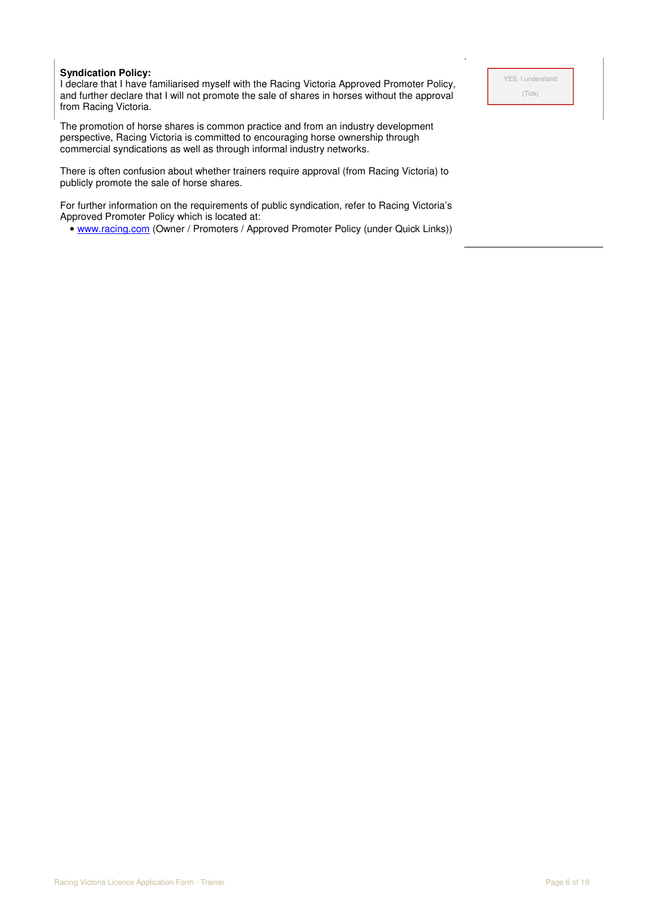#### **Syndication Policy:**

I declare that I have familiarised myself with the Racing Victoria Approved Promoter Policy, and further declare that I will not promote the sale of shares in horses without the approval from Racing Victoria.

The promotion of horse shares is common practice and from an industry development perspective, Racing Victoria is committed to encouraging horse ownership through commercial syndications as well as through informal industry networks.

There is often confusion about whether trainers require approval (from Racing Victoria) to publicly promote the sale of horse shares.

For further information on the requirements of public syndication, refer to Racing Victoria's Approved Promoter Policy which is located at:

• www.racing.com (Owner / Promoters / Approved Promoter Policy (under Quick Links))

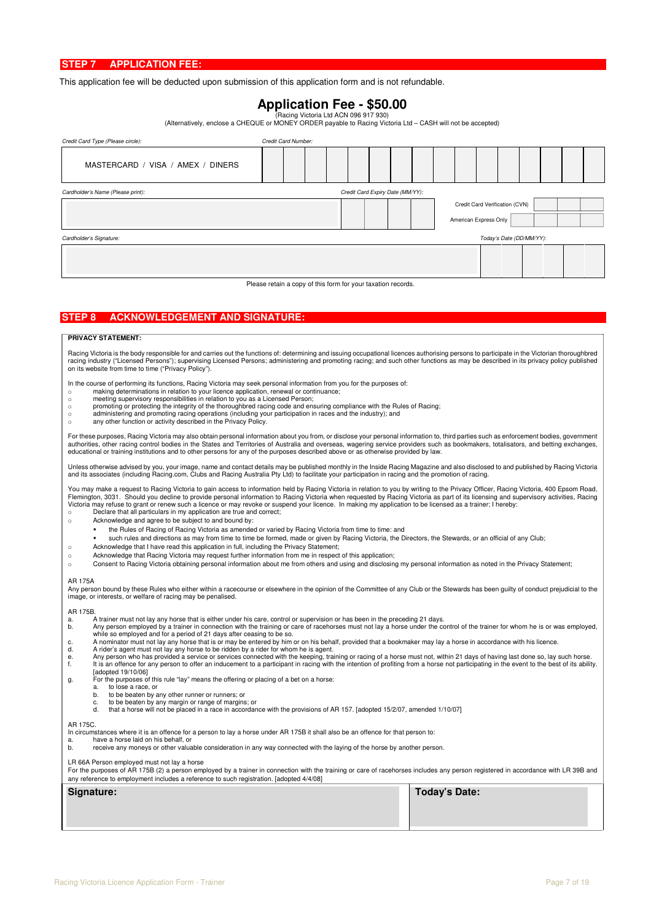This application fee will be deducted upon submission of this application form and is not refundable.

**Application Fee - \$50.00**<br>(Racing Victoria Ltd ACN 096 917 930)<br>(Alternatively, enclose a CHEQUE or MONEY ORDER payable to Racing Victoria Ltd – CASH will not be accepted)

| Credit Card Type (Please circle):                                     | Credit Card Number:                                          |  |                                |                       |                          |  |  |  |  |  |  |
|-----------------------------------------------------------------------|--------------------------------------------------------------|--|--------------------------------|-----------------------|--------------------------|--|--|--|--|--|--|
| MASTERCARD / VISA / AMEX / DINERS                                     |                                                              |  |                                |                       |                          |  |  |  |  |  |  |
| Credit Card Expiry Date (MM/YY):<br>Cardholder's Name (Please print): |                                                              |  |                                |                       |                          |  |  |  |  |  |  |
|                                                                       |                                                              |  | Credit Card Verification (CVN) |                       |                          |  |  |  |  |  |  |
|                                                                       |                                                              |  |                                | American Express Only |                          |  |  |  |  |  |  |
| Cardholder's Signature:                                               |                                                              |  |                                |                       | Today's Date (DD/MM/YY): |  |  |  |  |  |  |
|                                                                       |                                                              |  |                                |                       |                          |  |  |  |  |  |  |
|                                                                       |                                                              |  |                                |                       |                          |  |  |  |  |  |  |
|                                                                       | Please retain a copy of this form for your taxation records. |  |                                |                       |                          |  |  |  |  |  |  |

#### **STEP 8 ACKNOWLEDGEMENT AND SIGNATURE:**

#### **PRIVACY STATEMENT:**

Racing Victoria is the body responsible for and carries out the functions of: determining and issuing occupational licences authorising persons to participate in the Victorian thoroughbred racing industry ("Licensed Persons"); supervising Licensed Persons; administering and promoting racing; and such other functions as may be described in its privacy policy published<br>on its website from time to time ("Privac

In the course of performing its functions, Racing Victoria may seek personal information from you for the purposes of:

- o making determinations in relation to your licence application, renewal or continuance; o meeting supervisory responsibilities in relation to you as a Licensed Person;
- o promoting or protecting the integrity of the thoroughbred racing code and ensuring compliance with the Rules of Racing;
- o administering and promoting racing operations (including your participation in races and the industry); and
- o any other function or activity described in the Privacy Policy.

For these purposes, Racing Victoria may also obtain personal information about you from, or disclose your personal information to, third parties such as enforcement bodies, government authorities, other racing control bodies in the States and Territories of Australia and overseas, wagering service providers such as bookmakers, totalisators, and betting exchanges,<br>educational or training institutions and

Unless otherwise advised by you, your image, name and contact details may be published monthly in the Inside Racing Magazine and also disclosed to and published by Racing Victoria<br>and its associates (including Racing.com,

You may make a request to Racing Victoria to gain access to information held by Racing Victoria in relation to you by writing to the Privacy Officer, Racing Victoria, 400 Epsom Road,<br>Flemington, 3031. Should you decline to

- 
- o Acknowledge and agree to be subject to and bound by:
	- the Rules of Racing of Racing Victoria as amended or varied by Racing Victoria from time to time: and
- such rules and directions as may from time to time be formed, made or given by Racing Victoria, the Directors, the Stewards, or an official of any Club;
- o Acknowledge that I have read this application in full, including the Privacy Statement;
- o Acknowledge that Racing Victoria may request further information from me in respect of this application;
- o Consent to Racing Victoria obtaining personal information about me from others and using and disclosing my personal information as noted in the Privacy Statement;

#### AR 175A

Any person bound by these Rules who either within a racecourse or elsewhere in the opinion of the Committee of any Club or the Stewards has been guilty of conduct prejudicial to the<br>image, or interests, or welfare of racin

#### AR 175B.

- 
- a. A trainer must not lay any horse that is either under his care, control or supervision or has been in the preceding 21 days.<br>b. Any person employed by a trainer in connection with the training or care of racehorses must
- c. A nominator must not lay any horse that is or may be entered by him or on his behalf, provided that a bookmaker may lay a horse in accordance with his licence.<br>A rider's agent must not lay any horse to be ridden by a ri
- 
- d. A rider's agent must not lay any horse to be ridden by a rider for whom he is agent.<br>e. Any person who has provided a service or services connected with the keeping, training or racing of a horse<br>f. It is an offence for
- [adopted 19/10/06] g. For the purposes of this rule "lay" means the offering or placing of a bet on a horse:
	- a. to lose a race, or
	- b. to be beaten by any other runner or runners; or
	-
	- c. to be beaten by any margin or range of margins; or<br>d. that a horse will not be placed in a race in accordance with the provisions of AR 157. [adopted 15/2/07, amended 1/10/07]

#### AR 175C.

In circumstances where it is an offence for a person to lay a horse under AR 175B it shall also be an offence for that person to:

a. have a horse laid on his behalf, or<br>h receive any moneys or other value b. receive any moneys or other valuable consideration in any way connected with the laying of the horse by another person.

LR 66A Person employed must not lay a horse

For the purposes of AR 175B (2) a person employed by a trainer in connection with the training or care of racehorses includes any person registered in accordance with LR 39B and any reference to employment includes a reference to such registration. [adopted 4/4/08]

| Signature: | Today's Date: |
|------------|---------------|
|            |               |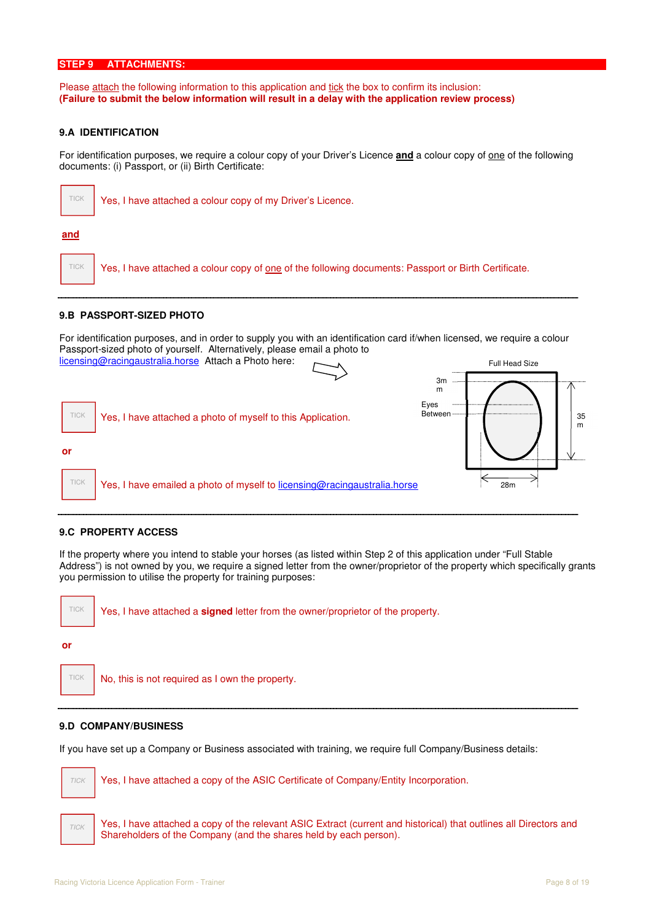#### **STEP 9 ATTACHMENTS:**

Please attach the following information to this application and tick the box to confirm its inclusion: **(Failure to submit the below information will result in a delay with the application review process)** 

#### **9.A IDENTIFICATION**

For identification purposes, we require a colour copy of your Driver's Licence **and** a colour copy of one of the following documents: (i) Passport, or (ii) Birth Certificate:



#### **9.B PASSPORT-SIZED PHOTO**

For identification purposes, and in order to supply you with an identification card if/when licensed, we require a colour Passport-sized photo of yourself. Alternatively, please email a photo to



#### **9.C PROPERTY ACCESS**

If the property where you intend to stable your horses (as listed within Step 2 of this application under "Full Stable Address") is not owned by you, we require a signed letter from the owner/proprietor of the property which specifically grants you permission to utilise the property for training purposes:



#### **9.D COMPANY/BUSINESS**

If you have set up a Company or Business associated with training, we require full Company/Business details:

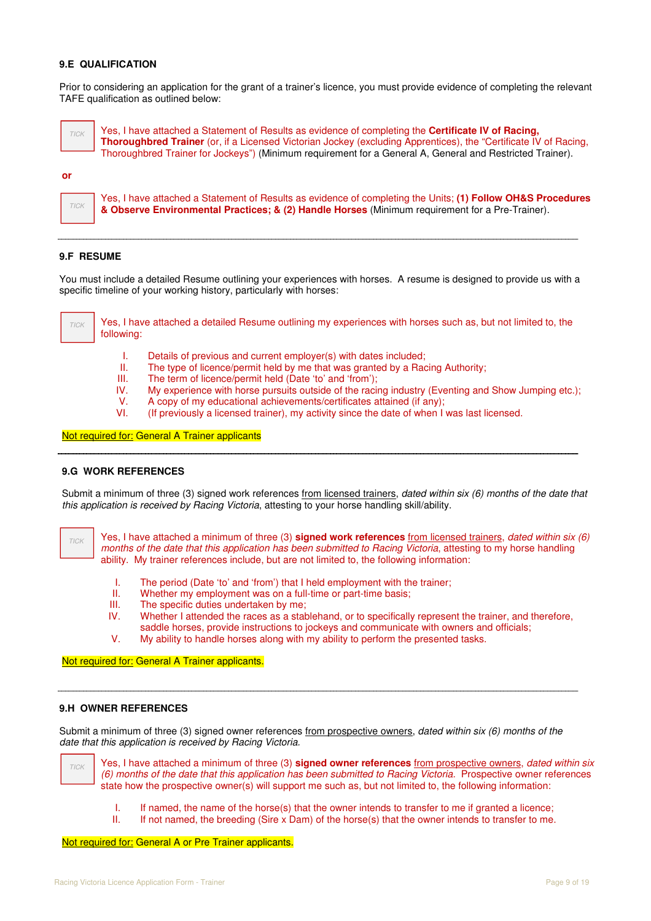### **9.E QUALIFICATION**

Prior to considering an application for the grant of a trainer's licence, you must provide evidence of completing the relevant TAFE qualification as outlined below:



 Yes, I have attached a Statement of Results as evidence of completing the **Certificate IV of Racing, Thoroughbred Trainer** (or, if a Licensed Victorian Jockey (excluding Apprentices), the "Certificate IV of Racing, Thoroughbred Trainer for Jockeys") (Minimum requirement for a General A, General and Restricted Trainer).

#### **or**



Yes, I have attached a Statement of Results as evidence of completing the Units; **(1) Follow OH&S Procedures & Observe Environmental Practices; & (2) Handle Horses** (Minimum requirement for a Pre-Trainer).

#### **9.F RESUME**

You must include a detailed Resume outlining your experiences with horses. A resume is designed to provide us with a specific timeline of your working history, particularly with horses:



 Yes, I have attached a detailed Resume outlining my experiences with horses such as, but not limited to, the following:

- I. Details of previous and current employer(s) with dates included;
- II. The type of licence/permit held by me that was granted by a Racing Authority;<br>III. The term of licence/permit held (Date 'to' and 'from'):
- III. The term of licence/permit held (Date 'to' and 'from');<br>IV. My experience with horse pursuits outside of the racing
- My experience with horse pursuits outside of the racing industry (Eventing and Show Jumping etc.);
- V. A copy of my educational achievements/certificates attained (if any);<br>VI. (If previously a licensed trainer), my activity since the date of when I
- (If previously a licensed trainer), my activity since the date of when I was last licensed.

#### Not required for: General A Trainer applicants

#### **9.G WORK REFERENCES**

Submit a minimum of three  $(3)$  signed work references from licensed trainers, dated within six  $(6)$  months of the date that this application is received by Racing Victoria, attesting to your horse handling skill/ability.

TICK

 Yes, I have attached a minimum of three (3) **signed work references** from licensed trainers, dated within six (6) months of the date that this application has been submitted to Racing Victoria, attesting to my horse handling ability. My trainer references include, but are not limited to, the following information:

- I. The period (Date 'to' and 'from') that I held employment with the trainer;<br>II. Whether my employment was on a full-time or part-time basis:
- Whether my employment was on a full-time or part-time basis;
- III. The specific duties undertaken by me;
- IV. Whether I attended the races as a stablehand, or to specifically represent the trainer, and therefore, saddle horses, provide instructions to jockeys and communicate with owners and officials;
- V. My ability to handle horses along with my ability to perform the presented tasks.

**Not required for: General A Trainer applicants.** 

#### **9.H OWNER REFERENCES**

Submit a minimum of three (3) signed owner references from prospective owners, dated within six (6) months of the date that this application is received by Racing Victoria.



Yes, I have attached a minimum of three (3) **signed owner references** from prospective owners, dated within six (6) months of the date that this application has been submitted to Racing Victoria. Prospective owner references state how the prospective owner(s) will support me such as, but not limited to, the following information:

- I. If named, the name of the horse(s) that the owner intends to transfer to me if granted a licence;<br>II. If not named, the breeding (Sire x Dam) of the horse(s) that the owner intends to transfer to me.
	- If not named, the breeding (Sire x Dam) of the horse(s) that the owner intends to transfer to me.

Not required for: General A or Pre Trainer applicants.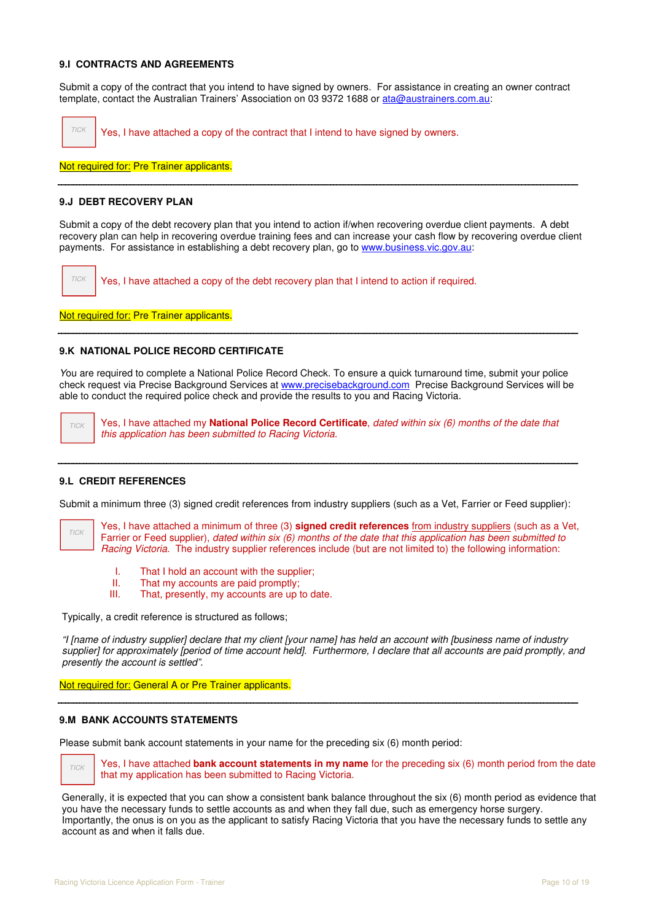#### **9.I CONTRACTS AND AGREEMENTS**

Submit a copy of the contract that you intend to have signed by owners. For assistance in creating an owner contract template, contact the Australian Trainers' Association on 03 9372 1688 or ata@austrainers.com.au:

Yes, I have attached a copy of the contract that I intend to have signed by owners.

Not required for: Pre Trainer applicants.

#### **9.J DEBT RECOVERY PLAN**

TICK

Submit a copy of the debt recovery plan that you intend to action if/when recovering overdue client payments. A debt recovery plan can help in recovering overdue training fees and can increase your cash flow by recovering overdue client payments. For assistance in establishing a debt recovery plan, go to www.business.vic.gov.au:

Yes, I have attached a copy of the debt recovery plan that I intend to action if required. TICK

Not required for: Pre Trainer applicants.

#### **9.K NATIONAL POLICE RECORD CERTIFICATE**

You are required to complete a National Police Record Check. To ensure a quick turnaround time, submit your police check request via Precise Background Services at www.precisebackground.com Precise Background Services will be able to conduct the required police check and provide the results to you and Racing Victoria.

Yes, I have attached my **National Police Record Certificate**, dated within six (6) months of the date that this application has been submitted to Racing Victoria. TICK

#### **9.L CREDIT REFERENCES**

Submit a minimum three (3) signed credit references from industry suppliers (such as a Vet. Farrier or Feed supplier):

Yes, I have attached a minimum of three (3) **signed credit references** from industry suppliers (such as a Vet, Farrier or Feed supplier), dated within six (6) months of the date that this application has been submitted to Racing Victoria. The industry supplier references include (but are not limited to) the following information: TICK

- I. That I hold an account with the supplier;
- II. That my accounts are paid promptly;<br>III. That, presently, my accounts are up t
- That, presently, my accounts are up to date.

Typically, a credit reference is structured as follows;

"I [name of industry supplier] declare that my client [your name] has held an account with [business name of industry supplier] for approximately [period of time account held]. Furthermore, I declare that all accounts are paid promptly, and presently the account is settled".

Not required for: General A or Pre Trainer applicants.

#### **9.M BANK ACCOUNTS STATEMENTS**

TICK

Please submit bank account statements in your name for the preceding six (6) month period:

 Yes, I have attached **bank account statements in my name** for the preceding six (6) month period from the date that my application has been submitted to Racing Victoria.

Generally, it is expected that you can show a consistent bank balance throughout the six (6) month period as evidence that you have the necessary funds to settle accounts as and when they fall due, such as emergency horse surgery. Importantly, the onus is on you as the applicant to satisfy Racing Victoria that you have the necessary funds to settle any account as and when it falls due.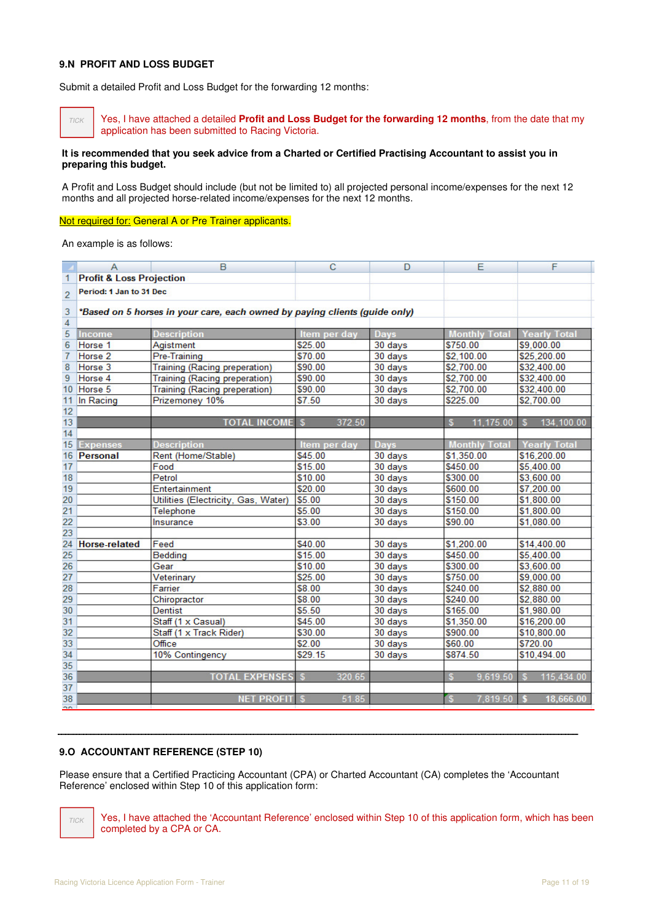#### **9.N PROFIT AND LOSS BUDGET**

Submit a detailed Profit and Loss Budget for the forwarding 12 months:

 Yes, I have attached a detailed **Profit and Loss Budget for the forwarding 12 months**, from the date that my application has been submitted to Racing Victoria. TICK

#### **It is recommended that you seek advice from a Charted or Certified Practising Accountant to assist you in preparing this budget.**

A Profit and Loss Budget should include (but not be limited to) all projected personal income/expenses for the next 12 months and all projected horse-related income/expenses for the next 12 months.

Not required for: General A or Pre Trainer applicants.

An example is as follows:

|                 | A                                   | B                                                                          | C            | D           | E                    | F                   |
|-----------------|-------------------------------------|----------------------------------------------------------------------------|--------------|-------------|----------------------|---------------------|
| 1               | <b>Profit &amp; Loss Projection</b> |                                                                            |              |             |                      |                     |
| $\overline{2}$  | Period: 1 Jan to 31 Dec             |                                                                            |              |             |                      |                     |
| 3               |                                     | *Based on 5 horses in your care, each owned by paying clients (guide only) |              |             |                      |                     |
| $\overline{4}$  |                                     |                                                                            |              |             |                      |                     |
| 5               | Income                              | <b>Description</b>                                                         | Item per day | <b>Days</b> | <b>Monthly Total</b> | <b>Yearly Tota</b>  |
| 6               | Horse <sub>1</sub>                  | Agistment                                                                  | \$25.00      | 30 days     | \$750.00             | \$9,000.00          |
| $\overline{7}$  | Horse <sub>2</sub>                  | Pre-Training                                                               | \$70.00      | 30 days     | \$2,100.00           | \$25,200.00         |
| 8               | Horse 3                             | <b>Training (Racing preperation)</b>                                       | \$90.00      | 30 days     | \$2,700.00           | \$32,400.00         |
| 9               | Horse 4                             | <b>Training (Racing preperation)</b>                                       | \$90.00      | 30 days     | \$2,700.00           | \$32,400.00         |
|                 | 10 Horse 5                          | <b>Training (Racing preperation)</b>                                       | \$90.00      | 30 days     | \$2,700.00           | \$32,400.00         |
| 11              | In Racing                           | Prizemoney 10%                                                             | \$7.50       | 30 days     | \$225.00             | \$2,700.00          |
| 12              |                                     |                                                                            |              |             |                      |                     |
| 13              |                                     | <b>TOTAL INCOME \$</b>                                                     | 372.50       |             | 11,175.00<br>s       | 134,100.00<br>s.    |
| 14              |                                     |                                                                            |              |             |                      |                     |
| 15              | <b>Expenses</b>                     | <b>Description</b>                                                         | Item per day | <b>Days</b> | <b>Monthly Total</b> | <b>Yearly Total</b> |
|                 | 16 Personal                         | Rent (Home/Stable)                                                         | \$45.00      | 30 days     | \$1,350.00           | \$16,200.00         |
| 17              |                                     | Food                                                                       | \$15.00      | 30 days     | \$450.00             | \$5,400.00          |
| 18              |                                     | Petrol                                                                     | \$10.00      | 30 days     | \$300.00             | \$3,600.00          |
| 19              |                                     | Entertainment                                                              | \$20.00      | 30 days     | \$600.00             | \$7,200.00          |
| 20              |                                     | Utilities (Electricity, Gas, Water)                                        | \$5.00       | 30 days     | \$150.00             | \$1,800.00          |
| $\overline{21}$ |                                     | Telephone                                                                  | \$5.00       | 30 days     | \$150.00             | \$1,800.00          |
| 22              |                                     | Insurance                                                                  | \$3.00       | 30 days     | \$90.00              | \$1,080.00          |
| 23              |                                     |                                                                            |              |             |                      |                     |
| 24              | <b>Horse-related</b>                | Feed                                                                       | \$40.00      | 30 days     | \$1,200.00           | \$14,400.00         |
| 25              |                                     | Bedding                                                                    | \$15.00      | 30 days     | \$450.00             | \$5,400.00          |
| 26              |                                     | Gear                                                                       | \$10.00      | 30 days     | \$300.00             | \$3,600.00          |
| 27              |                                     | Veterinary                                                                 | \$25.00      | 30 days     | \$750.00             | \$9,000.00          |
| 28              |                                     | Farrier                                                                    | \$8.00       | 30 days     | \$240.00             | \$2,880.00          |
| 29              |                                     | Chiropractor                                                               | \$8.00       | 30 days     | \$240.00             | \$2,880.00          |
| 30              |                                     | <b>Dentist</b>                                                             | \$5.50       | 30 days     | \$165.00             | \$1,980.00          |
| 31              |                                     | Staff (1 x Casual)                                                         | \$45.00      | 30 days     | \$1,350.00           | \$16,200.00         |
| 32              |                                     | Staff (1 x Track Rider)                                                    | \$30.00      | 30 days     | \$900.00             | \$10,800.00         |
| 33              |                                     | Office                                                                     | \$2.00       | 30 days     | \$60.00              | \$720.00            |
| 34              |                                     | 10% Contingency                                                            | \$29.15      | 30 days     | \$874.50             | \$10,494.00         |
| 35              |                                     |                                                                            |              |             |                      |                     |
| 36              |                                     | <b>TOTAL EXPENSES</b>                                                      | 320.65<br>S  |             | 9,619.50<br>S        | 115.434.00<br>S     |
| 37              |                                     |                                                                            |              |             |                      |                     |
| 38              |                                     | <b>NET PROFIT \$</b>                                                       | 51.85        |             | 7,819.50<br>S        | 18,666.00           |
|                 |                                     |                                                                            |              |             |                      |                     |

#### **9.O ACCOUNTANT REFERENCE (STEP 10)**

Please ensure that a Certified Practicing Accountant (CPA) or Charted Accountant (CA) completes the 'Accountant Reference' enclosed within Step 10 of this application form:

TICK

 Yes, I have attached the 'Accountant Reference' enclosed within Step 10 of this application form, which has been completed by a CPA or CA.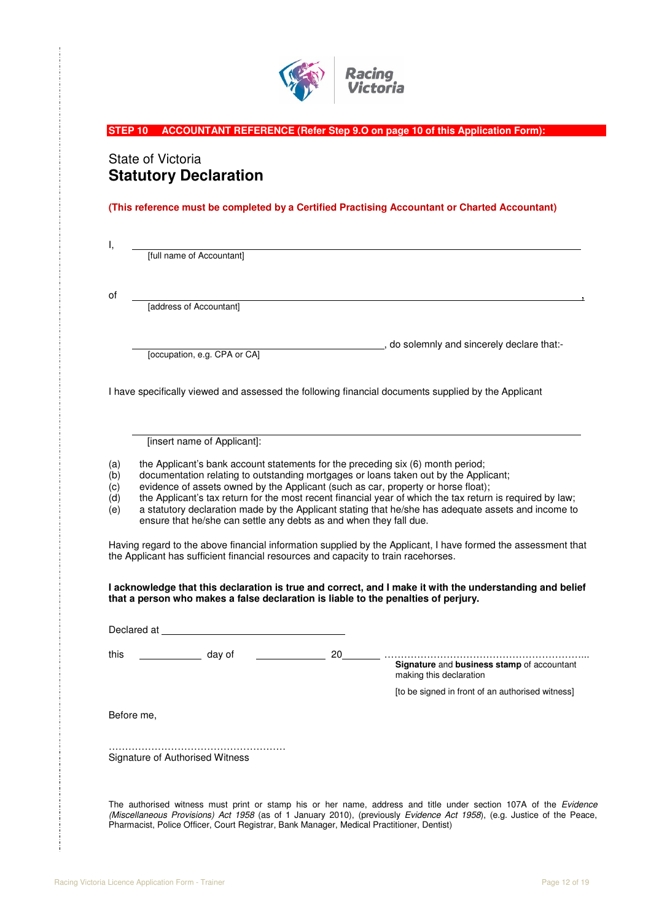

**STEP 10 ACCOUNTANT REFERENCE (Refer Step 9.O on page 10 of this Application Form):** 

# State of Victoria **Statutory Declaration**

**(This reference must be completed by a Certified Practising Accountant or Charted Accountant)** 

I,

[full name of Accountant]

of , [address of Accountant]

[occupation, e.g. CPA or CA]

, do solemnly and sincerely declare that:-

I have specifically viewed and assessed the following financial documents supplied by the Applicant

[insert name of Applicant]:

(a) the Applicant's bank account statements for the preceding six (6) month period;

(b) documentation relating to outstanding mortgages or loans taken out by the Applicant;

(c) evidence of assets owned by the Applicant (such as car, property or horse float);

(d) the Applicant's tax return for the most recent financial year of which the tax return is required by law;<br>(e) a statutory declaration made by the Applicant stating that he/she has adequate assets and income to a statutory declaration made by the Applicant stating that he/she has adequate assets and income to ensure that he/she can settle any debts as and when they fall due.

 $\overline{a}$ 

Having regard to the above financial information supplied by the Applicant, I have formed the assessment that the Applicant has sufficient financial resources and capacity to train racehorses.

**I acknowledge that this declaration is true and correct, and I make it with the understanding and belief that a person who makes a false declaration is liable to the penalties of perjury.** 

Declared at this day of 20 ……………………………………………………... **Signature** and **business stamp** of accountant making this declaration [to be signed in front of an authorised witness] Before me, ……………………………………………… Signature of Authorised Witness The authorised witness must print or stamp his or her name, address and title under section 107A of the Evidence

(Miscellaneous Provisions) Act 1958 (as of 1 January 2010), (previously Evidence Act 1958), (e.g. Justice of the Peace, Pharmacist, Police Officer, Court Registrar, Bank Manager, Medical Practitioner, Dentist)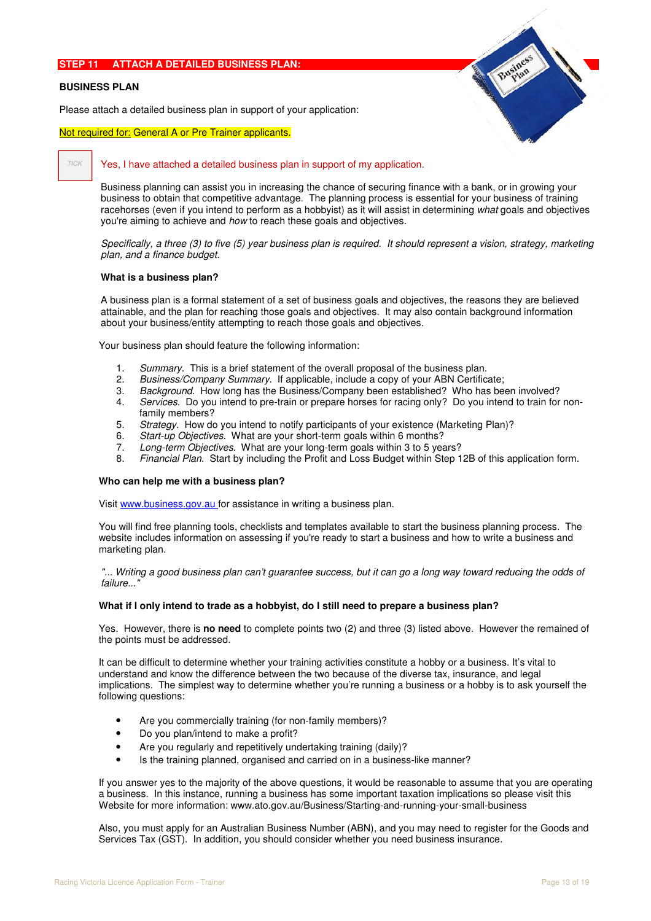### **STEP 11 ATTACH A DETAILED BUSINESS PLAN:**

#### **BUSINESS PLAN**

Please attach a detailed business plan in support of your application:

#### Not required for: General A or Pre Trainer applicants.

#### TICK

#### Yes, I have attached a detailed business plan in support of my application.

Business planning can assist you in increasing the chance of securing finance with a bank, or in growing your business to obtain that competitive advantage. The planning process is essential for your business of training racehorses (even if you intend to perform as a hobbyist) as it will assist in determining what goals and objectives you're aiming to achieve and how to reach these goals and objectives.

Specifically, a three (3) to five (5) year business plan is required. It should represent a vision, strategy, marketing plan, and a finance budget.

#### **What is a business plan?**

A business plan is a formal statement of a set of business goals and objectives, the reasons they are believed attainable, and the plan for reaching those goals and objectives. It may also contain background information about your business/entity attempting to reach those goals and objectives.

Your business plan should feature the following information:

- 1. Summary. This is a brief statement of the overall proposal of the business plan.
- 2. Business/Company Summary. If applicable, include a copy of your ABN Certificate;
- 3. Background. How long has the Business/Company been established? Who has been involved?
- 4. Services. Do you intend to pre-train or prepare horses for racing only? Do you intend to train for nonfamily members?
- 5. Strategy. How do you intend to notify participants of your existence (Marketing Plan)?
- 6. Start-up Objectives. What are your short-term goals within 6 months?
- 7. Long-term Objectives. What are your long-term goals within 3 to 5 years?
- 8. Financial Plan. Start by including the Profit and Loss Budget within Step 12B of this application form.

#### **Who can help me with a business plan?**

Visit www.business.gov.au for assistance in writing a business plan.

You will find free planning tools, checklists and templates available to start the business planning process. The website includes information on assessing if you're ready to start a business and how to write a business and marketing plan.

"... Writing a good business plan can't guarantee success, but it can go a long way toward reducing the odds of failure..."

#### **What if I only intend to trade as a hobbyist, do I still need to prepare a business plan?**

Yes. However, there is **no need** to complete points two (2) and three (3) listed above. However the remained of the points must be addressed.

It can be difficult to determine whether your training activities constitute a hobby or a business. It's vital to understand and know the difference between the two because of the diverse tax, insurance, and legal implications. The simplest way to determine whether you're running a business or a hobby is to ask yourself the following questions:

- Are you commercially training (for non-family members)?
- Do you plan/intend to make a profit?
- Are you regularly and repetitively undertaking training (daily)?
- Is the training planned, organised and carried on in a business-like manner?

If you answer yes to the majority of the above questions, it would be reasonable to assume that you are operating a business. In this instance, running a business has some important taxation implications so please visit this Website for more information: www.ato.gov.au/Business/Starting-and-running-your-small-business

Also, you must apply for an Australian Business Number (ABN), and you may need to register for the Goods and Services Tax (GST). In addition, you should consider whether you need business insurance.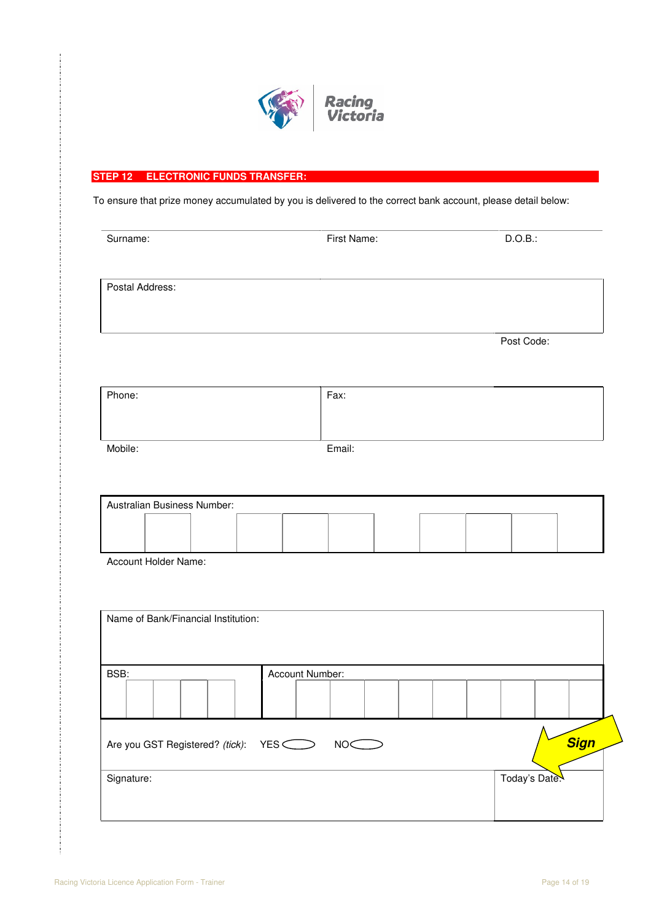

## **STEP 12 ELECTRONIC FUNDS TRANSFER:**

To ensure that prize money accumulated by you is delivered to the correct bank account, please detail below:

| Surname:        | First Name: | D.O.B.:    |
|-----------------|-------------|------------|
|                 |             |            |
| Postal Address: |             |            |
|                 |             | Post Code: |
|                 |             |            |
| Phone:          | Fax:        |            |
| Mobile:         | Email:      |            |
|                 |             |            |

| Australian Business Number: |  |  |  |  |  |  |  |  |  |  |  |
|-----------------------------|--|--|--|--|--|--|--|--|--|--|--|
|                             |  |  |  |  |  |  |  |  |  |  |  |
|                             |  |  |  |  |  |  |  |  |  |  |  |
|                             |  |  |  |  |  |  |  |  |  |  |  |
|                             |  |  |  |  |  |  |  |  |  |  |  |
|                             |  |  |  |  |  |  |  |  |  |  |  |
|                             |  |  |  |  |  |  |  |  |  |  |  |
|                             |  |  |  |  |  |  |  |  |  |  |  |
|                             |  |  |  |  |  |  |  |  |  |  |  |
|                             |  |  |  |  |  |  |  |  |  |  |  |
|                             |  |  |  |  |  |  |  |  |  |  |  |
|                             |  |  |  |  |  |  |  |  |  |  |  |
|                             |  |  |  |  |  |  |  |  |  |  |  |
|                             |  |  |  |  |  |  |  |  |  |  |  |

Account Holder Name:

|            | Name of Bank/Financial Institution: |  |                 |                 |  |  |               |             |
|------------|-------------------------------------|--|-----------------|-----------------|--|--|---------------|-------------|
| BSB:       |                                     |  | Account Number: |                 |  |  |               |             |
|            |                                     |  |                 |                 |  |  |               |             |
|            | Are you GST Registered? (tick): YES |  |                 | NO <sup>®</sup> |  |  |               | <b>Sign</b> |
| Signature: |                                     |  |                 |                 |  |  | Today's Date. |             |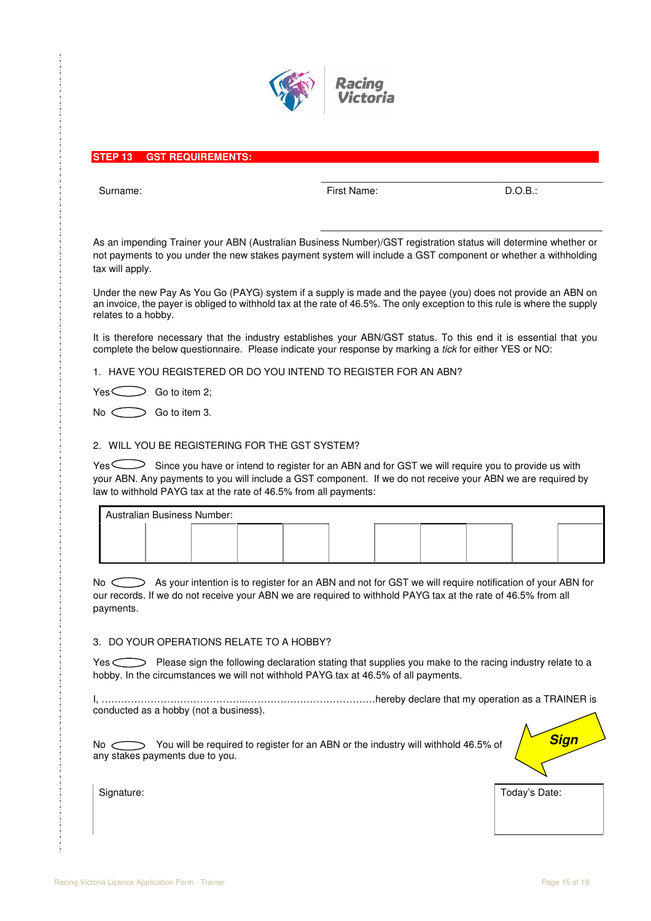

#### **STEP 13 GST REQUIREMENTS:**

Surname: Einst Name: Einst Name: Einst Name: B.O.B.: B.O.B.: B.O.B.: B.O.B.: B.O.B.: B.O.B.: B.O.B.: B.O.B.: B.O.B.: B.O.B.: B.O.B.: B.O.B.: B.O.B.: B.O.B.: B.O.B.: B.O.B.: B.O.B.: B.O.B.: B.O.B.: B.O.B.: B.O.B.: B.O.B.: B

As an impending Trainer your ABN (Australian Business Number)/GST registration status will determine whether or not payments to you under the new stakes payment system will include a GST component or whether a withholding tax will apply.

Under the new Pay As You Go (PAYG) system if a supply is made and the payee (you) does not provide an ABN on an invoice, the payer is obliged to withhold tax at the rate of 46.5%. The only exception to this rule is where the supply relates to a hobby.

It is therefore necessary that the industry establishes your ABN/GST status. To this end it is essential that you complete the below questionnaire. Please indicate your response by marking a tick for either YES or NO:

1. HAVE YOU REGISTERED OR DO YOU INTEND TO REGISTER FOR AN ABN?

 $Yes \frown$  Go to item 2;

 $No \ \bigodot$  Go to item 3.

#### 2. WILL YOU BE REGISTERING FOR THE GST SYSTEM?

Yes Since you have or intend to register for an ABN and for GST we will require you to provide us with your ABN. Any payments to you will include a GST component. If we do not receive your ABN we are required by law to withhold PAYG tax at the rate of 46.5% from all payments:

| Australian Business Number: |  |  |  |  |  |  |  |  |  |  |  |  |
|-----------------------------|--|--|--|--|--|--|--|--|--|--|--|--|
|                             |  |  |  |  |  |  |  |  |  |  |  |  |
|                             |  |  |  |  |  |  |  |  |  |  |  |  |

No  $\bigcirc$  As your intention is to register for an ABN and not for GST we will require notification of your ABN for our records. If we do not receive your ABN we are required to withhold PAYG tax at the rate of 46.5% from all payments.

#### 3. DO YOUR OPERATIONS RELATE TO A HOBBY?

Yes Sellowing declaration stating that supplies you make to the racing industry relate to a hobby. In the circumstances we will not withhold PAYG tax at 46.5% of all payments.

I, ……………………………………...…………………………………hereby declare that my operation as a TRAINER is conducted as a hobby (not a business).

No  $\bigcirc$  You will be required to register for an ABN or the industry will withhold 46.5% of any stakes payments due to you.

Signature: Today's Date: Today's Date:

**Sign**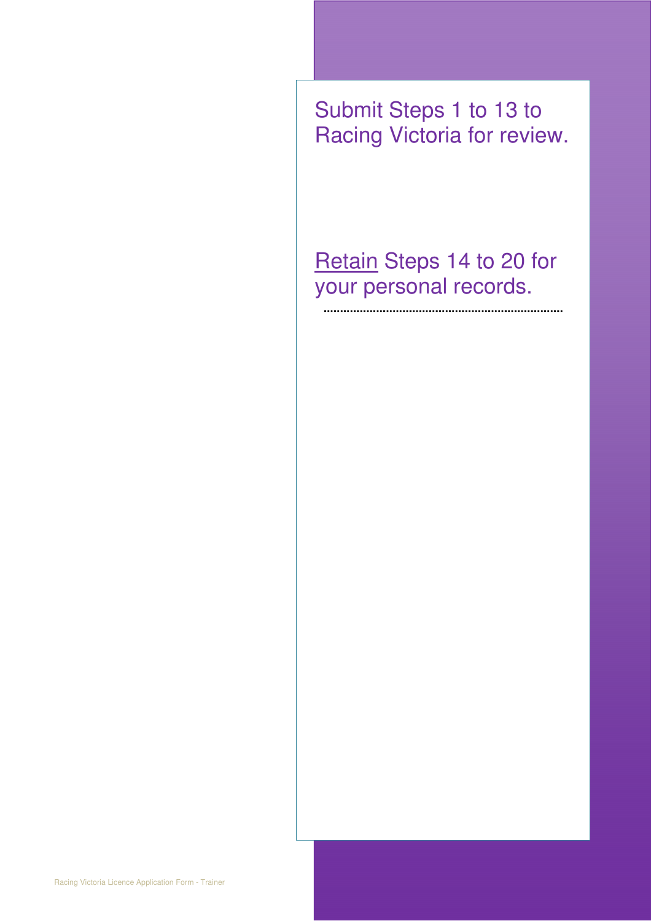Submit Steps 1 to 13 to Racing Victoria for review.

Retain Steps 14 to 20 for your personal records.

.....

............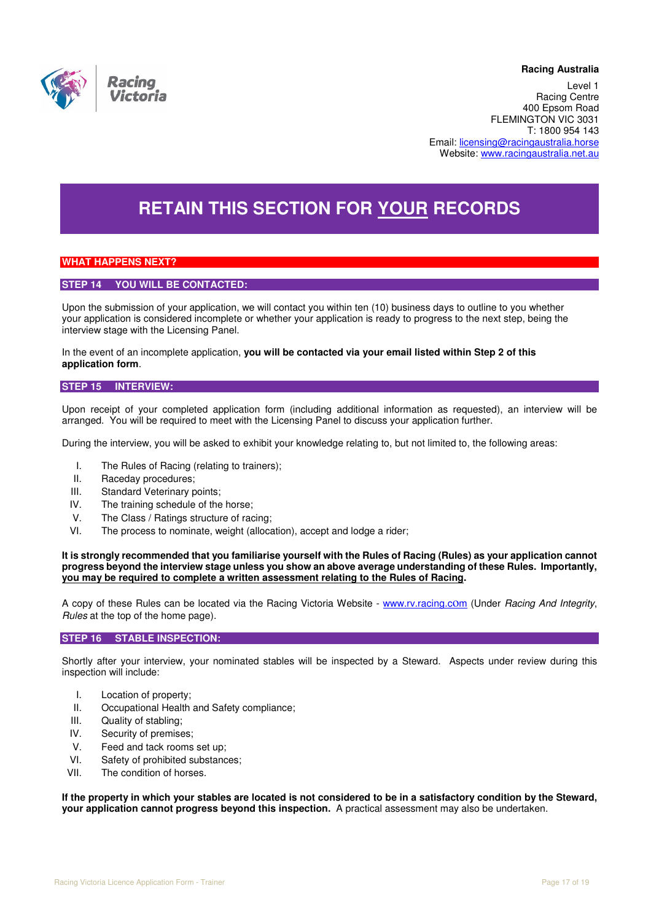

#### **Racing Australia**

**ACCESSI**NG DECISION Level 1 Racing Centre 400 Epsom Road FLEMINGTON VIC 3031 T: 1800 954 143 Email: licensing@racingaustralia.horse Website: www.racingaustralia.net.au

# **RETAIN THIS SECTION FOR YOUR RECORDS**

### **WHAT HAPPENS NEXT?**

### **STEP 14 YOU WILL BE CONTACTED:**

Upon the submission of your application, we will contact you within ten (10) business days to outline to you whether your application is considered incomplete or whether your application is ready to progress to the next step, being the interview stage with the Licensing Panel.

In the event of an incomplete application, **you will be contacted via your email listed within Step 2 of this application form**.

#### **STEP 15 INTERVIEW:**

Upon receipt of your completed application form (including additional information as requested), an interview will be arranged. You will be required to meet with the Licensing Panel to discuss your application further.

During the interview, you will be asked to exhibit your knowledge relating to, but not limited to, the following areas:

- I. The Rules of Racing (relating to trainers);
- II. Raceday procedures;
- III. Standard Veterinary points;
- IV. The training schedule of the horse;
- V. The Class / Ratings structure of racing;
- VI. The process to nominate, weight (allocation), accept and lodge a rider;

**It is strongly recommended that you familiarise yourself with the Rules of Racing (Rules) as your application cannot progress beyond the interview stage unless you show an above average understanding of these Rules. Importantly, you may be required to complete a written assessment relating to the Rules of Racing.** 

A copy of these Rules can be located via the Racing Victoria Website - www.rv.racing.com (Under Racing And Integrity, Rules at the top of the home page).

#### **STEP 16 STABLE INSPECTION:**

Shortly after your interview, your nominated stables will be inspected by a Steward. Aspects under review during this inspection will include:

- I. Location of property;
- II. Occupational Health and Safety compliance;
- III. Quality of stabling;
- IV. Security of premises;
- V. Feed and tack rooms set up;
- VI. Safety of prohibited substances;
- VII. The condition of horses.

**If the property in which your stables are located is not considered to be in a satisfactory condition by the Steward, your application cannot progress beyond this inspection.** A practical assessment may also be undertaken.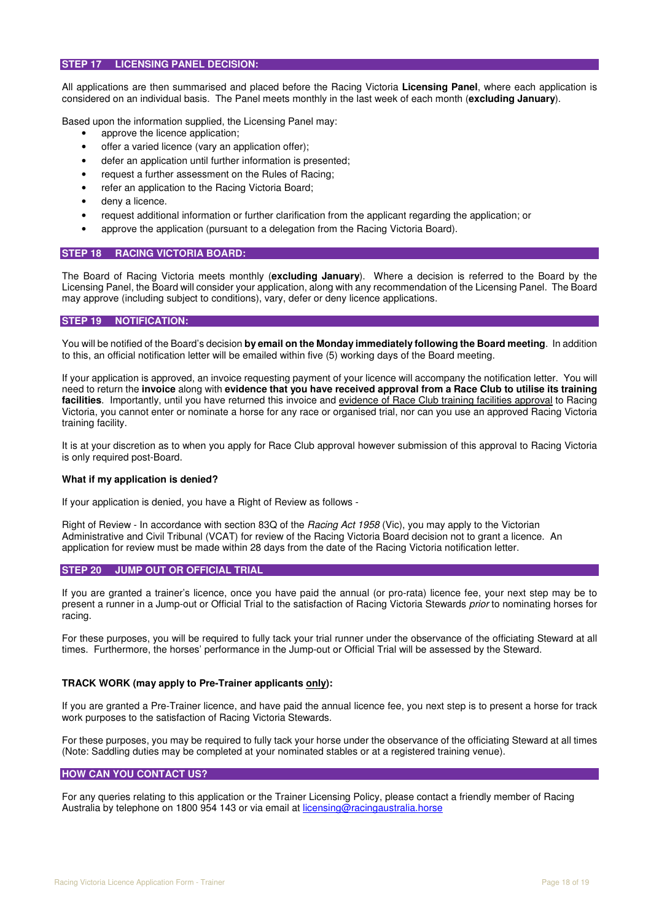#### **STEP 17 LICENSING PANEL DECISION:**

All applications are then summarised and placed before the Racing Victoria **Licensing Panel**, where each application is considered on an individual basis. The Panel meets monthly in the last week of each month (**excluding January**).

Based upon the information supplied, the Licensing Panel may:

- approve the licence application;
- offer a varied licence (vary an application offer);
- defer an application until further information is presented;
- request a further assessment on the Rules of Racing;
- refer an application to the Racing Victoria Board;
- deny a licence.
- request additional information or further clarification from the applicant regarding the application; or
- approve the application (pursuant to a delegation from the Racing Victoria Board).

#### **STEP 18 RACING VICTORIA BOARD:**

The Board of Racing Victoria meets monthly (**excluding January**). Where a decision is referred to the Board by the Licensing Panel, the Board will consider your application, along with any recommendation of the Licensing Panel. The Board may approve (including subject to conditions), vary, defer or deny licence applications.

#### **STEP 19 NOTIFICATION:**

You will be notified of the Board's decision **by email on the Monday immediately following the Board meeting**. In addition to this, an official notification letter will be emailed within five (5) working days of the Board meeting.

If your application is approved, an invoice requesting payment of your licence will accompany the notification letter. You will need to return the **invoice** along with **evidence that you have received approval from a Race Club to utilise its training**  facilities. Importantly, until you have returned this invoice and evidence of Race Club training facilities approval to Racing Victoria, you cannot enter or nominate a horse for any race or organised trial, nor can you use an approved Racing Victoria training facility.

It is at your discretion as to when you apply for Race Club approval however submission of this approval to Racing Victoria is only required post-Board.

#### **What if my application is denied?**

If your application is denied, you have a Right of Review as follows -

Right of Review - In accordance with section 83Q of the *Racing Act 1958* (Vic), you may apply to the Victorian Administrative and Civil Tribunal (VCAT) for review of the Racing Victoria Board decision not to grant a licence. An application for review must be made within 28 days from the date of the Racing Victoria notification letter.

#### **STEP 20 JUMP OUT OR OFFICIAL TRIAL**

If you are granted a trainer's licence, once you have paid the annual (or pro-rata) licence fee, your next step may be to present a runner in a Jump-out or Official Trial to the satisfaction of Racing Victoria Stewards prior to nominating horses for racing.

For these purposes, you will be required to fully tack your trial runner under the observance of the officiating Steward at all times. Furthermore, the horses' performance in the Jump-out or Official Trial will be assessed by the Steward.

#### **TRACK WORK (may apply to Pre-Trainer applicants only):**

If you are granted a Pre-Trainer licence, and have paid the annual licence fee, you next step is to present a horse for track work purposes to the satisfaction of Racing Victoria Stewards.

For these purposes, you may be required to fully tack your horse under the observance of the officiating Steward at all times (Note: Saddling duties may be completed at your nominated stables or at a registered training venue).

#### **HOW CAN YOU CONTACT US?**

For any queries relating to this application or the Trainer Licensing Policy, please contact a friendly member of Racing Australia by telephone on 1800 954 143 or via email at licensing@racingaustralia.horse